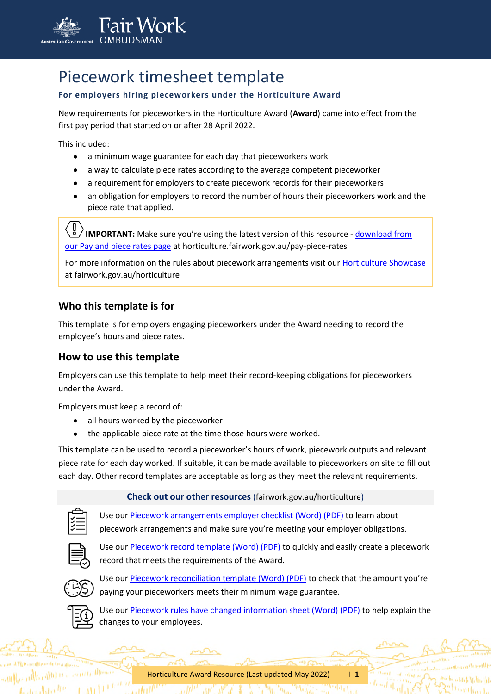

# Piecework timesheet template

#### **For employers hiring pieceworkers under the Horticulture Award**

New requirements for pieceworkers in the Horticulture Award (**Award**) came into effect from the first pay period that started on or after 28 April 2022.

This included:

- a minimum wage guarantee for each day that pieceworkers work
- a way to calculate piece rates according to the average competent pieceworker
- a requirement for employers to create piecework records for their pieceworkers
- an obligation for employers to record the number of hours their pieceworkers work and the piece rate that applied.

**IMPORTANT:** Make sure you're using the latest version of this resource - **[download](https://horticulture.fairwork.gov.au/pay-piece-rates) from** [our Pay and piece rates page at horticulture.fairwork.gov.au/pay-piece-rates](https://horticulture.fairwork.gov.au/pay-piece-rates)

For more information on the rules about piecework arrangements visit our [Horticulture Showcase](http://www.fairwork.gov.au/horticulture) at fairwork.gov.au/horticulture

### **Who this template is for**

This template is for employers engaging pieceworkers under the Award needing to record the employee's hours and piece rates.

### **How to use this template**

Employers can use this template to help meet their record-keeping obligations for pieceworkers under the Award.

Employers must keep a record of:

- all hours worked by the pieceworker
- the applicable piece rate at the time those hours were worked.

This template can be used to record a pieceworker's hours of work, piecework outputs and relevant piece rate for each day worked. If suitable, it can be made available to pieceworkers on site to fill out each day. Other record templates are acceptable as long as they meet the relevant requirements.

**Check out our other resources** (fairwork.gov.au/horticulture)

Use our [Piecework arrangements](https://www.fairwork.gov.au/sites/default/files/2022-03/piecework-arrangements-employer-checklist.docx) employer checklist (Word) [\(PDF\)](https://www.fairwork.gov.au/sites/default/files/2022-03/piecework-arrangements-employer-checklist.pdf) to learn about piecework arrangements and make sure you're meeting your employer obligations.

Use our [Piecework record](https://www.fairwork.gov.au/sites/default/files/2022-03/piecework-record-template.docx) template (Word) [\(PDF\)](http://www.fairwork.gov.au/sites/default/files/2022-03/piecework-record-template.pdf) to quickly and easily create a piecework record that meets the requirements of the Award.



Use our [Piecework reconciliation](http://www.fairwork.gov.au/sites/default/files/2022-04/Piecework-reconciliation-template.docx) template (Word) [\(PDF\)](http://www.fairwork.gov.au/sites/default/files/2022-04/Piecework-reconciliation-template.pdf) to check that the amount you're paying your pieceworkers meets their minimum wage guarantee.



Use our [Piecework rules have](https://www.fairwork.gov.au/sites/default/files/2022-04/piecework-rules-have-changed-information-sheet.docx) changed information sheet (Word) [\(PDF\)](https://www.fairwork.gov.au/sites/default/files/2022-04/piecework-rules-have-changed-information-sheet.pdf) to help explain the changes to your employees.

althouse data can althouse

and a stuffer some

Horticulture Award Resource (Last updated May 2022) I **1**